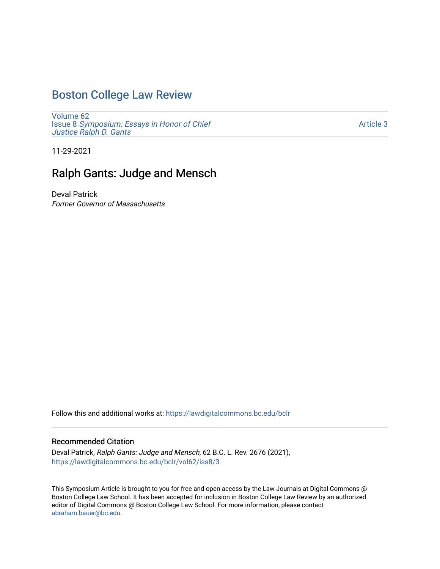# [Boston College Law Review](https://lawdigitalcommons.bc.edu/bclr)

[Volume 62](https://lawdigitalcommons.bc.edu/bclr/vol62) Issue 8 [Symposium: Essays in Honor of Chief](https://lawdigitalcommons.bc.edu/bclr/vol62/iss8)  [Justice Ralph D. Gants](https://lawdigitalcommons.bc.edu/bclr/vol62/iss8) 

[Article 3](https://lawdigitalcommons.bc.edu/bclr/vol62/iss8/3) 

11-29-2021

# Ralph Gants: Judge and Mensch

Deval Patrick Former Governor of Massachusetts

Follow this and additional works at: [https://lawdigitalcommons.bc.edu/bclr](https://lawdigitalcommons.bc.edu/bclr?utm_source=lawdigitalcommons.bc.edu%2Fbclr%2Fvol62%2Fiss8%2F3&utm_medium=PDF&utm_campaign=PDFCoverPages) 

#### Recommended Citation

Deval Patrick, Ralph Gants: Judge and Mensch, 62 B.C. L. Rev. 2676 (2021), [https://lawdigitalcommons.bc.edu/bclr/vol62/iss8/3](https://lawdigitalcommons.bc.edu/bclr/vol62/iss8/3?utm_source=lawdigitalcommons.bc.edu%2Fbclr%2Fvol62%2Fiss8%2F3&utm_medium=PDF&utm_campaign=PDFCoverPages) 

This Symposium Article is brought to you for free and open access by the Law Journals at Digital Commons @ Boston College Law School. It has been accepted for inclusion in Boston College Law Review by an authorized editor of Digital Commons @ Boston College Law School. For more information, please contact [abraham.bauer@bc.edu.](mailto:abraham.bauer@bc.edu)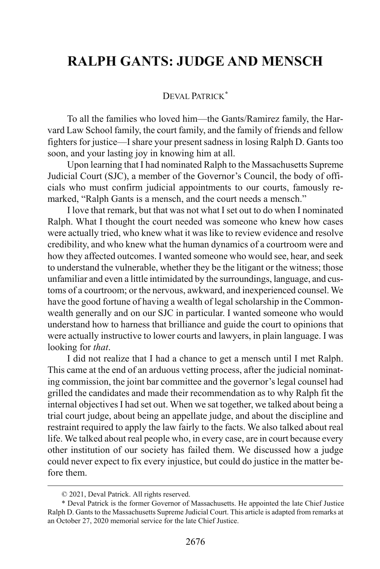### **RALPH GANTS: JUDGE AND MENSCH**

### DEVAL PATRICK**[\\*](#page-1-0)**

To all the families who loved him—the Gants/Ramirez family, the Harvard Law School family, the court family, and the family of friends and fellow fighters for justice—I share your present sadness in losing Ralph D. Gants too soon, and your lasting joy in knowing him at all.

Upon learning that I had nominated Ralph to the Massachusetts Supreme Judicial Court (SJC), a member of the Governor's Council, the body of officials who must confirm judicial appointments to our courts, famously remarked, "Ralph Gants is a mensch, and the court needs a mensch."

I love that remark, but that was not what I set out to do when I nominated Ralph. What I thought the court needed was someone who knew how cases were actually tried, who knew what it was like to review evidence and resolve credibility, and who knew what the human dynamics of a courtroom were and how they affected outcomes. I wanted someone who would see, hear, and seek to understand the vulnerable, whether they be the litigant or the witness; those unfamiliar and even a little intimidated by the surroundings, language, and customs of a courtroom; or the nervous, awkward, and inexperienced counsel. We have the good fortune of having a wealth of legal scholarship in the Commonwealth generally and on our SJC in particular. I wanted someone who would understand how to harness that brilliance and guide the court to opinions that were actually instructive to lower courts and lawyers, in plain language. I was looking for *that*.

I did not realize that I had a chance to get a mensch until I met Ralph. This came at the end of an arduous vetting process, after the judicial nominating commission, the joint bar committee and the governor's legal counsel had grilled the candidates and made their recommendation as to why Ralph fit the internal objectives I had set out. When we sat together, we talked about being a trial court judge, about being an appellate judge, and about the discipline and restraint required to apply the law fairly to the facts. We also talked about real life. We talked about real people who, in every case, are in court because every other institution of our society has failed them. We discussed how a judge could never expect to fix every injustice, but could do justice in the matter before them.

<sup>© 2021,</sup> Deval Patrick. All rights reserved.

<span id="page-1-0"></span><sup>\*</sup> Deval Patrick is the former Governor of Massachusetts. He appointed the late Chief Justice Ralph D. Gants to the Massachusetts Supreme Judicial Court. This article is adapted from remarks at an October 27, 2020 memorial service for the late Chief Justice.